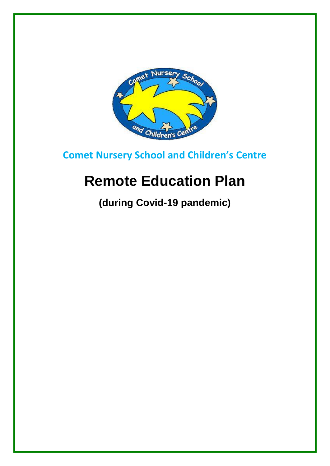

**Comet Nursery School and Children's Centre**

# **Remote Education Plan**

**(during Covid-19 pandemic)**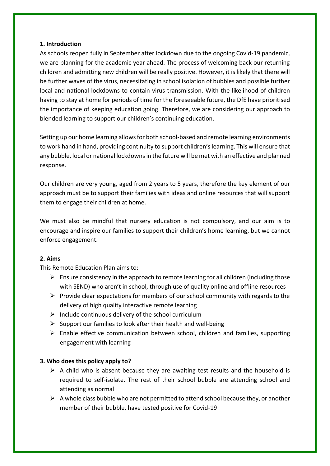## **1. Introduction**

As schools reopen fully in September after lockdown due to the ongoing Covid-19 pandemic, we are planning for the academic year ahead. The process of welcoming back our returning children and admitting new children will be really positive. However, it is likely that there will be further waves of the virus, necessitating in school isolation of bubbles and possible further local and national lockdowns to contain virus transmission. With the likelihood of children having to stay at home for periods of time for the foreseeable future, the DfE have prioritised the importance of keeping education going. Therefore, we are considering our approach to blended learning to support our children's continuing education.

Setting up our home learning allows for both school-based and remote learning environments to work hand in hand, providing continuity to support children's learning. This will ensure that any bubble, local or national lockdowns in the future will be met with an effective and planned response.

Our children are very young, aged from 2 years to 5 years, therefore the key element of our approach must be to support their families with ideas and online resources that will support them to engage their children at home.

We must also be mindful that nursery education is not compulsory, and our aim is to encourage and inspire our families to support their children's home learning, but we cannot enforce engagement.

# **2. Aims**

This Remote Education Plan aims to:

- $\triangleright$  Ensure consistency in the approach to remote learning for all children (including those with SEND) who aren't in school, through use of quality online and offline resources
- $\triangleright$  Provide clear expectations for members of our school community with regards to the delivery of high quality interactive remote learning
- $\triangleright$  Include continuous delivery of the school curriculum
- $\triangleright$  Support our families to look after their health and well-being
- $\triangleright$  Enable effective communication between school, children and families, supporting engagement with learning

# **3. Who does this policy apply to?**

- $\triangleright$  A child who is absent because they are awaiting test results and the household is required to self-isolate. The rest of their school bubble are attending school and attending as normal
- $\triangleright$  A whole class bubble who are not permitted to attend school because they, or another member of their bubble, have tested positive for Covid-19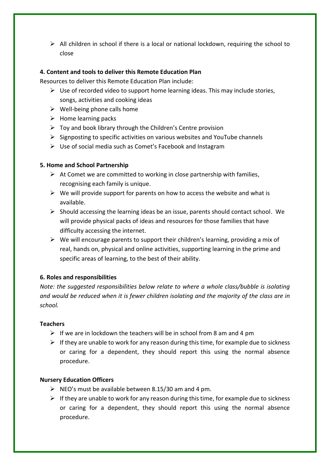$\triangleright$  All children in school if there is a local or national lockdown, requiring the school to close

## **4. Content and tools to deliver this Remote Education Plan**

Resources to deliver this Remote Education Plan include:

- $\triangleright$  Use of recorded video to support home learning ideas. This may include stories, songs, activities and cooking ideas
- $\triangleright$  Well-being phone calls home
- $\triangleright$  Home learning packs
- $\triangleright$  Toy and book library through the Children's Centre provision
- $\triangleright$  Signposting to specific activities on various websites and YouTube channels
- $\triangleright$  Use of social media such as Comet's Facebook and Instagram

#### **5. Home and School Partnership**

- $\triangleright$  At Comet we are committed to working in close partnership with families, recognising each family is unique.
- $\triangleright$  We will provide support for parents on how to access the website and what is available.
- $\triangleright$  Should accessing the learning ideas be an issue, parents should contact school. We will provide physical packs of ideas and resources for those families that have difficulty accessing the internet.
- $\triangleright$  We will encourage parents to support their children's learning, providing a mix of real, hands on, physical and online activities, supporting learning in the prime and specific areas of learning, to the best of their ability.

# **6. Roles and responsibilities**

*Note: the suggested responsibilities below relate to where a whole class/bubble is isolating and would be reduced when it is fewer children isolating and the majority of the class are in school.*

#### **Teachers**

- $\triangleright$  If we are in lockdown the teachers will be in school from 8 am and 4 pm
- $\triangleright$  If they are unable to work for any reason during this time, for example due to sickness or caring for a dependent, they should report this using the normal absence procedure.

#### **Nursery Education Officers**

- $\triangleright$  NEO's must be available between 8.15/30 am and 4 pm.
- $\triangleright$  If they are unable to work for any reason during this time, for example due to sickness or caring for a dependent, they should report this using the normal absence procedure.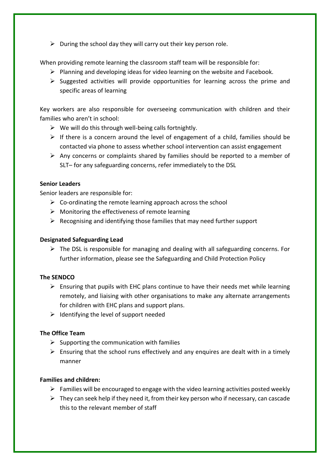$\triangleright$  During the school day they will carry out their key person role.

When providing remote learning the classroom staff team will be responsible for:

- $\triangleright$  Planning and developing ideas for video learning on the website and Facebook.
- $\triangleright$  Suggested activities will provide opportunities for learning across the prime and specific areas of learning

Key workers are also responsible for overseeing communication with children and their families who aren't in school:

- $\triangleright$  We will do this through well-being calls fortnightly.
- $\triangleright$  If there is a concern around the level of engagement of a child, families should be contacted via phone to assess whether school intervention can assist engagement
- $\triangleright$  Any concerns or complaints shared by families should be reported to a member of SLT– for any safeguarding concerns, refer immediately to the DSL

# **Senior Leaders**

Senior leaders are responsible for:

- $\triangleright$  Co-ordinating the remote learning approach across the school
- $\triangleright$  Monitoring the effectiveness of remote learning
- $\triangleright$  Recognising and identifying those families that may need further support

# **Designated Safeguarding Lead**

 $\triangleright$  The DSL is responsible for managing and dealing with all safeguarding concerns. For further information, please see the Safeguarding and Child Protection Policy

# **The SENDCO**

- $\triangleright$  Ensuring that pupils with EHC plans continue to have their needs met while learning remotely, and liaising with other organisations to make any alternate arrangements for children with EHC plans and support plans.
- $\triangleright$  Identifying the level of support needed

# **The Office Team**

- $\triangleright$  Supporting the communication with families
- $\triangleright$  Ensuring that the school runs effectively and any enquires are dealt with in a timely manner

# **Families and children:**

- $\triangleright$  Families will be encouraged to engage with the video learning activities posted weekly
- $\triangleright$  They can seek help if they need it, from their key person who if necessary, can cascade this to the relevant member of staff